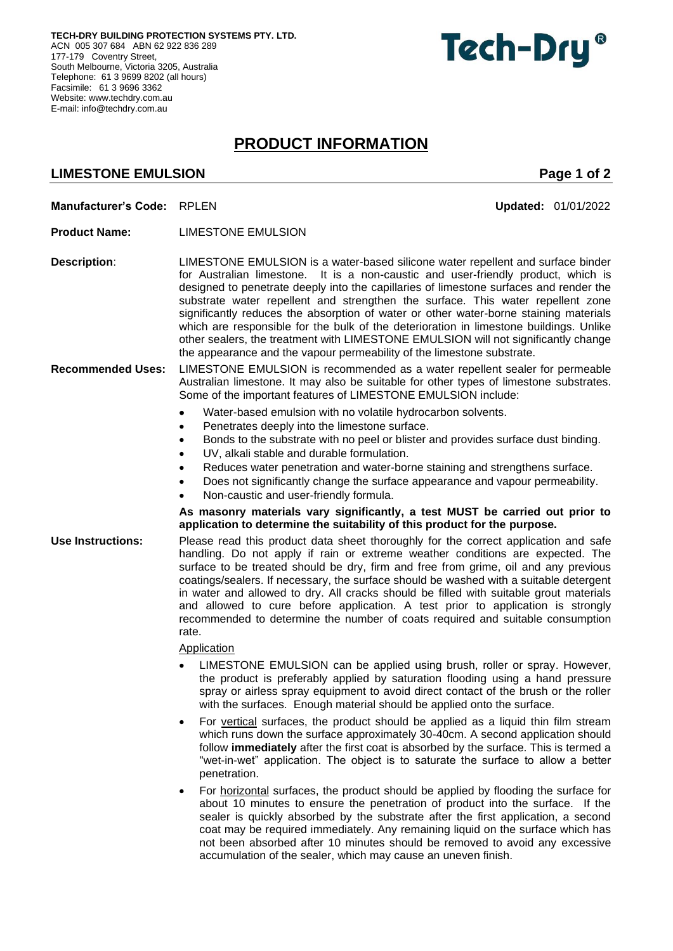**TECH-DRY BUILDING PROTECTION SYSTEMS PTY. LTD.** ACN 005 307 684 ABN 62 922 836 289 177-179 Coventry Street, South Melbourne, Victoria 3205, Australia Telephone: 61 3 9699 8202 (all hours) Facsimile: 61 3 9696 3362 Website[: www.techdry.com.au](http://www.techdry.com.au/) E-mail[: info@techdry.com.au](mailto:info@techdry.com.au)

# **Tech-Dry**

## **PRODUCT INFORMATION**

### **LIMESTONE EMULSION Page 1 of 2**

**Manufacturer's Code:** RPLEN **Updated:** 01/01/2022

- **Product Name:** LIMESTONE EMULSION
- **Description**: LIMESTONE EMULSION is a water-based silicone water repellent and surface binder for Australian limestone. It is a non-caustic and user-friendly product, which is designed to penetrate deeply into the capillaries of limestone surfaces and render the substrate water repellent and strengthen the surface. This water repellent zone significantly reduces the absorption of water or other water-borne staining materials which are responsible for the bulk of the deterioration in limestone buildings. Unlike other sealers, the treatment with LIMESTONE EMULSION will not significantly change the appearance and the vapour permeability of the limestone substrate.
- **Recommended Uses:** LIMESTONE EMULSION is recommended as a water repellent sealer for permeable Australian limestone. It may also be suitable for other types of limestone substrates. Some of the important features of LIMESTONE EMULSION include:
	- Water-based emulsion with no volatile hydrocarbon solvents.
	- Penetrates deeply into the limestone surface.
	- Bonds to the substrate with no peel or blister and provides surface dust binding.
	- UV, alkali stable and durable formulation.
	- Reduces water penetration and water-borne staining and strengthens surface.
	- Does not significantly change the surface appearance and vapour permeability.
	- Non-caustic and user-friendly formula.

**As masonry materials vary significantly, a test MUST be carried out prior to application to determine the suitability of this product for the purpose.**

**Use Instructions:** Please read this product data sheet thoroughly for the correct application and safe handling. Do not apply if rain or extreme weather conditions are expected. The surface to be treated should be dry, firm and free from grime, oil and any previous coatings/sealers. If necessary, the surface should be washed with a suitable detergent in water and allowed to dry. All cracks should be filled with suitable grout materials and allowed to cure before application. A test prior to application is strongly recommended to determine the number of coats required and suitable consumption rate.

**Application** 

- LIMESTONE EMULSION can be applied using brush, roller or spray. However, the product is preferably applied by saturation flooding using a hand pressure spray or airless spray equipment to avoid direct contact of the brush or the roller with the surfaces. Enough material should be applied onto the surface.
- For vertical surfaces, the product should be applied as a liquid thin film stream which runs down the surface approximately 30-40cm. A second application should follow **immediately** after the first coat is absorbed by the surface. This is termed a "wet-in-wet" application. The object is to saturate the surface to allow a better penetration.
- For horizontal surfaces, the product should be applied by flooding the surface for about 10 minutes to ensure the penetration of product into the surface. If the sealer is quickly absorbed by the substrate after the first application, a second coat may be required immediately. Any remaining liquid on the surface which has not been absorbed after 10 minutes should be removed to avoid any excessive accumulation of the sealer, which may cause an uneven finish.